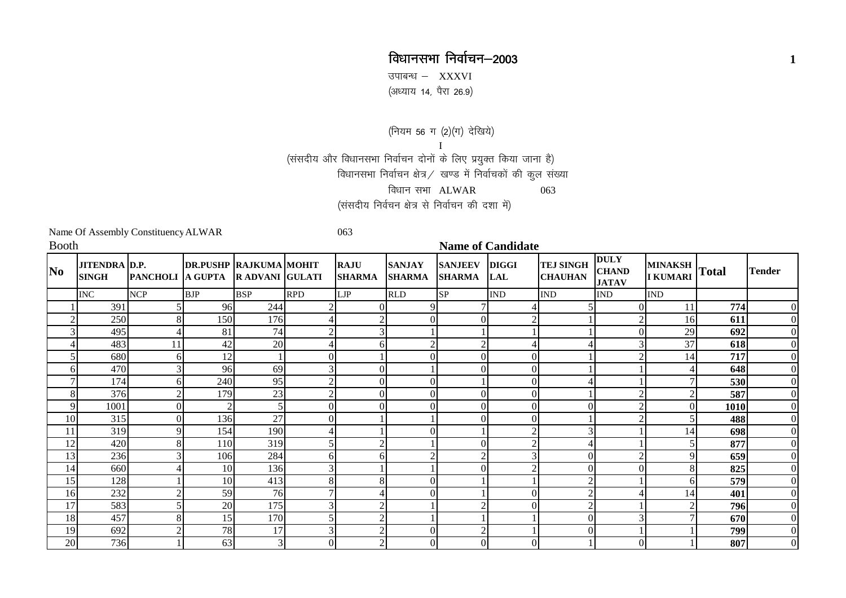## विधानसभा निर्वाचन–2003 **<sup>1</sup>**

उपाबन्ध  $-$  XXXVI ,<br>(अध्याय 14, पैरा 26.9)

(नियम 56 ग (2)(ग) देखिये) I(संसदीय और विधानसभा निर्वाचन दोनों के लिए प्रयुक्त किया जाना है) विधानसभा निर्वाचन क्षेत्र / खण्ड में निर्वाचकों की कुल संख्या विधान सभा $ALWAR$  063 (संसदीय निर्वचन क्षेत्र से निर्वाचन की दशा में)

Name Of Assembly Constituency ALWAR 063

| <b>Booth</b>                      |                                      |                                         |                               |            |                |                              |                                | <b>Name of Candidate</b>              |                  |                                    |                                             |                                  |      |                |  |  |  |  |  |
|-----------------------------------|--------------------------------------|-----------------------------------------|-------------------------------|------------|----------------|------------------------------|--------------------------------|---------------------------------------|------------------|------------------------------------|---------------------------------------------|----------------------------------|------|----------------|--|--|--|--|--|
| $\overline{\textbf{N}}\textbf{o}$ | <b>JITENDRA D.P.</b><br><b>SINGH</b> | <b>PANCHOLI A GUPTA R ADVANI GULATI</b> | <b>DR.PUSHP RAJKUMA MOHIT</b> |            |                | <b>RAJU</b><br><b>SHARMA</b> | <b>SANJAY</b><br><b>SHARMA</b> | <b>SANJEEV DIGGI</b><br><b>SHARMA</b> | LAL              | <b>TEJ SINGH</b><br><b>CHAUHAN</b> | <b>DULY</b><br><b>CHAND</b><br><b>JATAV</b> | MINAKSH Total<br><b>I KUMARI</b> |      | <b>Tender</b>  |  |  |  |  |  |
|                                   | <b>INC</b>                           | <b>NCP</b>                              | <b>BJP</b>                    | <b>BSP</b> | <b>RPD</b>     | LJP                          | <b>RLD</b>                     | <b>SP</b>                             | <b>IND</b>       | <b>IND</b>                         | <b>IND</b>                                  | <b>IND</b>                       |      |                |  |  |  |  |  |
|                                   | 391                                  |                                         | 96                            | 244        |                |                              | Q.                             |                                       |                  |                                    |                                             | 11                               | 774  |                |  |  |  |  |  |
|                                   | 250                                  |                                         | 150                           | 176        |                |                              |                                |                                       |                  |                                    |                                             | 16                               | 611  |                |  |  |  |  |  |
|                                   | 495                                  |                                         | 81                            | 74         | $\gamma$       |                              |                                |                                       |                  |                                    |                                             | 29                               | 692  |                |  |  |  |  |  |
|                                   | 483                                  | 11                                      | 42                            | 20         |                | h.                           |                                |                                       |                  |                                    |                                             | 37                               | 618  |                |  |  |  |  |  |
|                                   | 680                                  |                                         | 12                            |            | $\Omega$       |                              |                                |                                       | $\boldsymbol{0}$ |                                    |                                             | 14                               | 717  |                |  |  |  |  |  |
| 6                                 | 470                                  |                                         | 96                            | 69         | 3              |                              |                                |                                       | $\overline{0}$   |                                    |                                             |                                  | 648  |                |  |  |  |  |  |
| 7                                 | 174                                  |                                         | 240                           | 95         | $\gamma$       |                              |                                |                                       | $\overline{0}$   |                                    |                                             |                                  | 530  |                |  |  |  |  |  |
| 8                                 | 376                                  |                                         | 179                           | 23         | $\overline{2}$ | $\Omega$                     | $\Omega$                       |                                       | $\overline{0}$   |                                    |                                             | $\overline{2}$                   | 587  |                |  |  |  |  |  |
| 9                                 | 1001                                 |                                         | $\overline{2}$                |            | $\Omega$       |                              |                                |                                       | $\overline{0}$   |                                    |                                             | $\Omega$                         | 1010 |                |  |  |  |  |  |
| 10                                | 315                                  |                                         | 136                           | 27         | $\Omega$       |                              |                                |                                       | $\Omega$         |                                    |                                             |                                  | 488  |                |  |  |  |  |  |
| 11                                | 319                                  |                                         | 154                           | 190        |                |                              |                                |                                       | $\overline{2}$   |                                    |                                             | 14                               | 698  |                |  |  |  |  |  |
| 12                                | 420                                  | 8                                       | 110                           | 319        |                |                              |                                |                                       | $\overline{2}$   |                                    |                                             | 5                                | 877  |                |  |  |  |  |  |
| 13                                | 236                                  |                                         | 106                           | 284        | 61             | h.                           |                                |                                       |                  |                                    |                                             | 9                                | 659  |                |  |  |  |  |  |
| 14                                | 660                                  |                                         | 10                            | 136        | 3              |                              |                                |                                       | 2                | 0                                  |                                             | 8                                | 825  |                |  |  |  |  |  |
| 15                                | 128                                  |                                         | 10                            | 413        |                |                              |                                |                                       |                  |                                    |                                             | 6                                | 579  |                |  |  |  |  |  |
| 16                                | 232                                  |                                         | 59                            | 76         | 7              |                              |                                |                                       | $\Omega$         |                                    |                                             | 14                               | 401  |                |  |  |  |  |  |
| 17                                | 583                                  |                                         | 20                            | 175        | 3              |                              |                                |                                       | $\Omega$         |                                    |                                             | $\mathcal{D}$                    | 796  |                |  |  |  |  |  |
| 18                                | 457                                  |                                         | 15                            | 170        |                |                              |                                |                                       |                  |                                    |                                             |                                  | 670  |                |  |  |  |  |  |
| 19                                | 692                                  |                                         | 78                            | 17         | 3              |                              |                                |                                       |                  |                                    |                                             |                                  | 799  | $\overline{0}$ |  |  |  |  |  |
| 20                                | 736                                  |                                         | 63                            | 3          | $\overline{0}$ | ◠                            | $\Omega$                       |                                       | $\Omega$         |                                    | ∩                                           |                                  | 807  | $\overline{0}$ |  |  |  |  |  |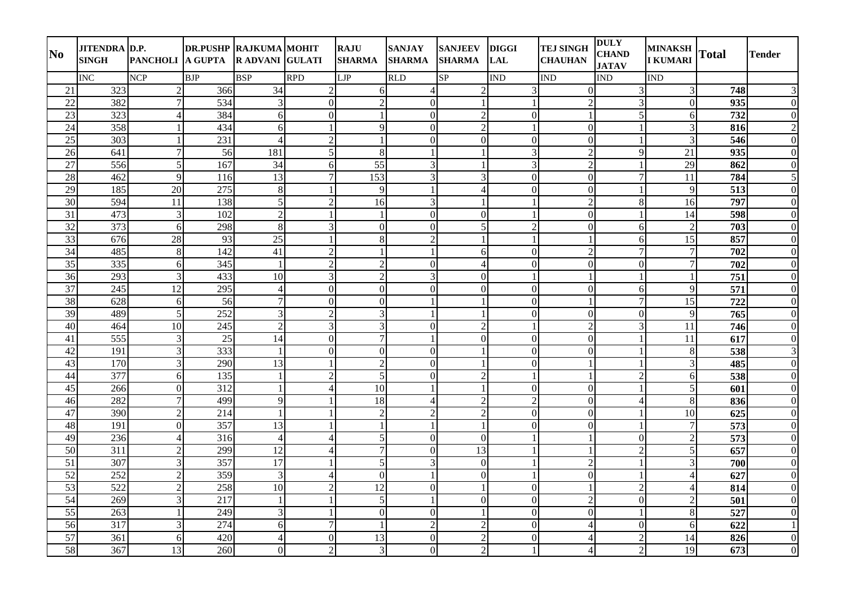| N <sub>0</sub>  | <b>JITENDRA D.P.</b><br><b>SINGH</b> | PANCHOLI A GUPTA            | <b>DR.PUSHP RAJKUMA MOHIT</b> | <b>RADVANI GULATI</b> |                          | <b>RAJU</b><br><b>SHARMA</b> | <b>SANJAY</b><br><b>SHARMA</b> | <b>SANJEEV</b><br><b>SHARMA</b> | <b>DIGGI</b><br><b>LAL</b> | <b>TEJ SINGH</b><br><b>CHAUHAN</b> | <b>DULY</b><br><b>CHAND</b><br><b>JATAV</b> | <b>MINAKSH</b><br><b>I KUMARI</b> | <b>Total</b>     | <b>Tender</b>    |
|-----------------|--------------------------------------|-----------------------------|-------------------------------|-----------------------|--------------------------|------------------------------|--------------------------------|---------------------------------|----------------------------|------------------------------------|---------------------------------------------|-----------------------------------|------------------|------------------|
|                 | <b>INC</b>                           | <b>NCP</b>                  | <b>BJP</b>                    | <b>BSP</b>            | <b>RPD</b>               | LJP                          | <b>RLD</b>                     | SP                              | <b>IND</b>                 | <b>IND</b>                         | <b>IND</b>                                  | <b>IND</b>                        |                  |                  |
| 21              | 323                                  | $\overline{2}$              | 366                           | 34                    | $\overline{2}$           | 6                            | $\overline{4}$                 | $\overline{2}$                  | $\mathfrak{Z}$             | $\Omega$                           | 3                                           | 3                                 | 748              | 3                |
| 22              | 382                                  | 7                           | 534                           | $\overline{3}$        | $\Omega$                 | $\overline{2}$               | $\mathbf{0}$                   |                                 | $\mathbf{1}$               | $\overline{2}$                     | $\mathfrak{Z}$                              | $\Omega$                          | 935              | $\mathbf{0}$     |
| 23              | $\overline{323}$                     | 4                           | 384                           | 6                     | $\mathbf{0}$             | $\mathbf{1}$                 | $\mathbf{0}$                   | $\overline{2}$                  | $\boldsymbol{0}$           | $\mathbf{1}$                       | 5                                           | 6                                 | 732              | $\boldsymbol{0}$ |
| 24              | 358                                  |                             | 434                           | 6                     |                          | 9                            | $\overline{0}$                 | $\overline{2}$                  | $\mathbf{1}$               | $\overline{0}$                     |                                             | 3                                 | 816              | $\overline{2}$   |
| 25              | 303                                  |                             | 231                           | $\overline{4}$        | $\overline{2}$           | $\mathbf{1}$                 | $\mathbf{0}$                   | $\boldsymbol{0}$                | $\boldsymbol{0}$           | $\Omega$                           |                                             | 3                                 | 546              | $\boldsymbol{0}$ |
| 26              | 641                                  | 7                           | 56                            | 181                   | 5                        | 8                            | $\mathbf{1}$                   |                                 | 3                          | $\overline{2}$                     | 9                                           | 21                                | 935              | $\boldsymbol{0}$ |
| 27              | 556                                  | $\overline{5}$              | 167                           | 34                    | 6                        | 55                           | 3                              |                                 | 3                          | $\overline{2}$                     |                                             | 29                                | 862              | $\boldsymbol{0}$ |
| 28              | 462                                  | 9                           | 116                           | 13                    | $\overline{7}$           | 153                          | 3                              | 3                               | $\boldsymbol{0}$           | $\mathbf{0}$                       | $\tau$                                      | 11                                | 784              | 5                |
| 29              | 185                                  | 20                          | 275                           | 8                     |                          | 9                            | $\mathbf{1}$                   | $\overline{A}$                  | $\overline{0}$             | $\overline{0}$                     |                                             | 9                                 | $\overline{513}$ | $\overline{0}$   |
| 30              | 594                                  | 11                          | 138                           | 5 <sup>1</sup>        | $\overline{2}$           | 16                           | $\overline{3}$                 |                                 | $\mathbf{1}$               | $\overline{2}$                     | 8                                           | 16                                | 797              | $\boldsymbol{0}$ |
| 31              | 473                                  | $\mathbf{3}$                | 102                           | $\overline{2}$        |                          | $\overline{1}$               | $\Omega$                       | $\mathbf{0}$                    | $\mathbf{1}$               | $\Omega$                           |                                             | 14                                | 598              | $\mathbf{0}$     |
| 32              | 373                                  | 6                           | 298                           | 8                     | 3                        | $\overline{0}$               | $\mathbf{0}$                   | 5                               | $\overline{2}$             | $\mathbf{0}$                       | 6                                           | $\overline{2}$                    | 703              | $\boldsymbol{0}$ |
| 33              | 676                                  | 28                          | 93                            | 25                    |                          | 8                            | $\overline{2}$                 |                                 | $\mathbf{1}$               |                                    | 6                                           | 15                                | 857              | $\boldsymbol{0}$ |
| 34              | 485                                  | 8                           | 142                           | 41                    | 2                        |                              | $\mathbf{1}$                   | 6                               | $\Omega$                   | $\mathcal{D}$                      | 7                                           | $\tau$                            | 702              | $\Omega$         |
| 35              | 335                                  | 6                           | 345                           | $\mathbf{1}$          | $\overline{2}$           | $\overline{2}$               | $\boldsymbol{0}$               | $\overline{4}$                  | $\boldsymbol{0}$           | $\mathbf{0}$                       | $\overline{0}$                              | $\boldsymbol{7}$                  | 702              | $\boldsymbol{0}$ |
| 36              | 293                                  | 3                           | 433                           | 10                    | 3                        | $\overline{2}$               | $\mathfrak{Z}$                 | $\boldsymbol{0}$                | $\mathbf{1}$               |                                    |                                             | $\mathbf{1}$                      | 751              | $\boldsymbol{0}$ |
| $\overline{37}$ | 245                                  | 12                          | 295                           | $\vert 4 \vert$       | $\mathbf{0}$             | $\overline{0}$               | $\boldsymbol{0}$               | $\boldsymbol{0}$                | $\boldsymbol{0}$           | $\mathbf{0}$                       | 6                                           | 9                                 | 571              | $\boldsymbol{0}$ |
| $\overline{38}$ | 628                                  | 6                           | 56                            | $\overline{7}$        | $\mathbf{0}$             | $\mathbf{0}$                 | $\mathbf{1}$                   |                                 | $\overline{0}$             |                                    | $\overline{7}$                              | $\overline{15}$                   | 722              | $\mathbf{0}$     |
| 39              | 489                                  | $\overline{5}$              | 252                           | $\overline{3}$        | 2                        | 3                            | $\mathbf{1}$                   | $\mathbf{1}$                    | $\boldsymbol{0}$           | $\mathbf{0}$                       | $\mathbf{0}$                                | $\overline{Q}$                    | 765              | $\boldsymbol{0}$ |
| 40              | 464                                  | 10                          | 245                           | $\overline{2}$        | 3                        | 3                            | $\mathbf{0}$                   | $\overline{2}$                  | $\mathbf{1}$               | $\overline{2}$                     | 3                                           | 11                                | 746              | $\mathbf{0}$     |
| 41              | 555                                  | 3                           | 25                            | 14                    | $\Omega$                 | 7                            | $\mathbf{1}$                   | $\Omega$                        | $\Omega$                   | $\Omega$                           |                                             | 11                                | 617              | $\mathbf{0}$     |
| $\overline{42}$ | 191                                  | 3                           | 333                           | $\mathbf{1}$          | $\mathbf{0}$             | $\overline{0}$               | $\mathbf{0}$                   |                                 | $\boldsymbol{0}$           | $\mathbf{0}$                       |                                             | $\,8\,$                           | 538              | $\mathfrak{Z}$   |
| 43              | 170                                  | 3                           | 290                           | 13                    |                          | $\overline{2}$               | $\Omega$                       |                                 | $\mathbf{0}$               |                                    |                                             | $\overline{3}$                    | 485              | $\mathbf{0}$     |
| 44              | 377                                  | 6                           | 135                           | $\mathbf{1}$          | $\overline{2}$           | 5                            | $\boldsymbol{0}$               | $\overline{2}$                  | $\mathbf{1}$               |                                    | $\overline{2}$                              | 6                                 | 538              | $\boldsymbol{0}$ |
| 45              | 266                                  | $\overline{0}$              | 312                           | $\mathbf{1}$          | $\overline{4}$           | 10                           | $\mathbf{1}$                   |                                 | $\boldsymbol{0}$           | $\mathbf{0}$                       |                                             | $5\overline{)}$                   | 601              | $\mathbf{0}$     |
| 46              | 282                                  | $\tau$                      | 499                           | 9                     | $\mathbf{1}$             | 18                           | $\overline{4}$                 | $\overline{2}$                  | $\overline{c}$             | $\overline{0}$                     | $\overline{\mathcal{A}}$                    | 8                                 | 836              | $\boldsymbol{0}$ |
| 47              | 390                                  | $\overline{2}$              | 214                           | $\mathbf{1}$          |                          | $\overline{2}$               | $\overline{2}$                 | $\overline{2}$                  | $\mathbf{0}$               | $\mathbf{0}$                       |                                             | 10                                | 625              | $\boldsymbol{0}$ |
| 48              | 191                                  | $\Omega$                    | 357                           | 13                    |                          |                              | -1                             |                                 | $\Omega$                   | $\Omega$                           |                                             | $\tau$                            | 573              | $\mathbf{0}$     |
| 49              | 236                                  | 4                           | 316                           | $\vert 4 \vert$       | $\overline{\mathcal{A}}$ | $\mathfrak{S}$               | $\mathbf{0}$                   | $\mathbf{0}$                    | $\mathbf{1}$               |                                    | $\Omega$                                    | $\overline{2}$                    | 573              | $\boldsymbol{0}$ |
| 50              | 311                                  | 2                           | 299                           | 12                    | $\overline{4}$           | $\overline{7}$               | $\mathbf{0}$                   | $\overline{13}$                 | $\mathbf{1}$               |                                    | $\overline{2}$                              | 5                                 | 657              | $\mathbf{0}$     |
| $\overline{51}$ | 307                                  | 3                           | 357                           | $\overline{17}$       |                          | $\mathfrak{S}$               | $\mathfrak{Z}$                 | $\boldsymbol{0}$                | $\mathbf{1}$               | $\mathfrak{D}$                     |                                             | 3                                 | 700              | $\boldsymbol{0}$ |
| $\overline{52}$ | $\overline{252}$                     | $\overline{2}$              | 359                           | $\overline{3}$        | $\overline{4}$           | $\mathbf{0}$                 | $\mathbf{1}$                   | $\overline{0}$                  | $\mathbf{1}$               | $\mathbf{0}$                       |                                             | $\overline{4}$                    | 627              | $\mathbf{0}$     |
| 53              | 522                                  | $\mathcal{D}_{\mathcal{L}}$ | 258                           | 10                    | 2                        | 12                           | $\mathbf{0}$                   | $\mathbf{1}$                    | $\boldsymbol{0}$           |                                    | $\overline{2}$                              | $\overline{4}$                    | 814              | $\boldsymbol{0}$ |
| 54              | 269                                  |                             | 217                           | $\mathbf{1}$          |                          | 5                            | $\mathbf{1}$                   | $\overline{0}$                  | $\boldsymbol{0}$           | $\overline{2}$                     | $\overline{0}$                              | $\overline{2}$                    | 501              | $\mathbf{0}$     |
| 55              | 263                                  |                             | 249                           | $\overline{3}$        |                          | $\boldsymbol{0}$             | $\mathbf{0}$                   |                                 | $\overline{0}$             | $\Omega$                           |                                             | 8                                 | 527              | $\mathbf{0}$     |
| 56              | 317                                  |                             | 274                           | 6                     | $\overline{7}$           |                              | $\overline{2}$                 | $\overline{2}$                  | $\mathbf{0}$               | $\Delta$                           | $\overline{0}$                              | 6                                 | 622              | $\mathbf{1}$     |
| 57              | 361                                  | 6                           | 420                           |                       | $\Omega$                 | 13                           | $\mathbf{0}$                   | $\overline{2}$                  | $\mathbf{0}$               | $\Delta$                           | $\overline{2}$                              | 14                                | 826              | $\mathbf{0}$     |
| 58              | 367                                  | 13                          | 260                           | $\overline{0}$        | $\overline{2}$           | $\mathfrak{Z}$               | $\overline{0}$                 | $\overline{2}$                  | $\mathbf{1}$               | $\overline{4}$                     | $\overline{2}$                              | 19                                | 673              | $\boldsymbol{0}$ |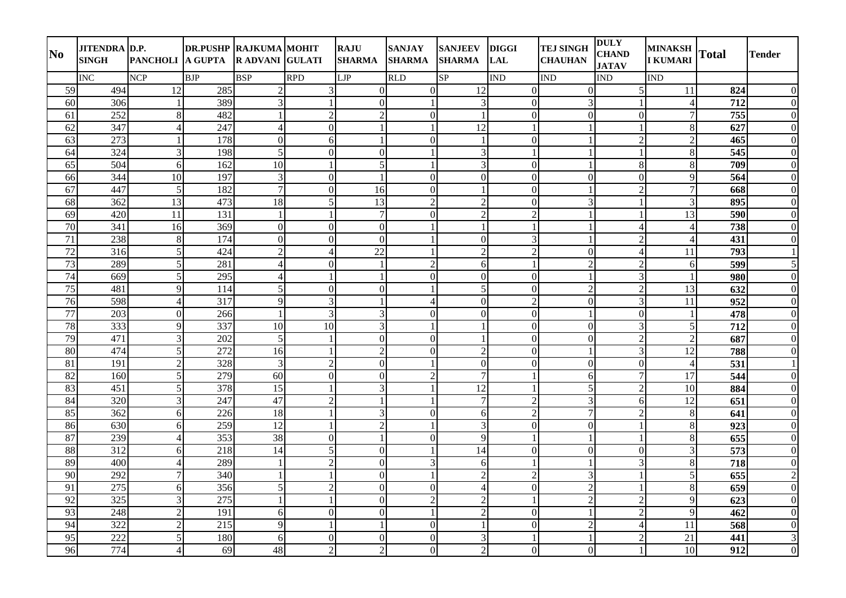| N <sub>0</sub>  | <b>JITENDRA D.P.</b><br><b>SINGH</b> | PANCHOLI A GUPTA         | <b>DR.PUSHP RAJKUMA MOHIT</b> | <b>RADVANI GULATI</b> |                | <b>RAJU</b><br><b>SHARMA</b> | <b>SANJAY</b><br><b>SHARMA</b> | <b>SANJEEV</b><br><b>SHARMA</b> | <b>DIGGI</b><br><b>LAL</b> | <b>TEJ SINGH</b><br><b>CHAUHAN</b> | <b>DULY</b><br><b>CHAND</b><br><b>JATAV</b> | <b>MINAKSH</b><br><b>I KUMARI</b> | <b>Total</b> | Tender           |
|-----------------|--------------------------------------|--------------------------|-------------------------------|-----------------------|----------------|------------------------------|--------------------------------|---------------------------------|----------------------------|------------------------------------|---------------------------------------------|-----------------------------------|--------------|------------------|
|                 | <b>INC</b>                           | <b>NCP</b>               | <b>BJP</b>                    | <b>BSP</b>            | <b>RPD</b>     | <b>LJP</b>                   | <b>RLD</b>                     | SP                              | <b>IND</b>                 | <b>IND</b>                         | <b>IND</b>                                  | <b>IND</b>                        |              |                  |
| 59              | 494                                  | 12                       | 285                           | $\overline{2}$        | 3              | $\Omega$                     | $\overline{0}$                 | 12                              | $\mathbf{0}$               | $\overline{0}$                     | 5                                           | 11                                | 824          | $\mathbf{0}$     |
| 60              | 306                                  | $\mathbf{1}$             | 389                           | $\mathfrak{Z}$        |                | $\Omega$                     | $\mathbf{1}$                   | $\mathfrak{Z}$                  | $\mathbf{0}$               | 3                                  |                                             | $\overline{4}$                    | 712          | $\boldsymbol{0}$ |
| 61              | 252                                  | 8                        | 482                           | $\mathbf{1}$          | $\overline{2}$ | $\overline{2}$               | $\mathbf{0}$                   | $\mathbf{1}$                    | $\boldsymbol{0}$           | $\overline{0}$                     | $\boldsymbol{0}$                            | $\tau$                            | 755          | $\mathbf{0}$     |
| 62              | 347                                  | $\overline{4}$           | 247                           | $\overline{4}$        | $\mathbf{0}$   |                              | $\mathbf{1}$                   | $\overline{12}$                 | $\mathbf{1}$               |                                    |                                             | 8                                 | 627          | $\overline{0}$   |
| 63              | 273                                  |                          | 178                           | $\overline{0}$        | 6              |                              | $\mathbf{0}$                   | $\mathbf{1}$                    | $\mathbf{0}$               |                                    | $\overline{2}$                              | $\overline{2}$                    | 465          | $\mathbf{0}$     |
| 64              | 324                                  | $\overline{3}$           | 198                           | 5                     | $\overline{0}$ | $\mathbf{0}$                 | $\mathbf{1}$                   | 3                               | $\mathbf{1}$               |                                    |                                             | $8\phantom{1}$                    | 545          | $\mathbf{0}$     |
| 65              | 504                                  | 6 <sup>1</sup>           | 162                           | 10                    |                | 5                            |                                | 3                               | $\Omega$                   |                                    | 8                                           | 8                                 | 709          | $\theta$         |
| 66              | 344                                  | 10                       | 197                           | $\overline{3}$        | $\mathbf{0}$   |                              | $\mathbf{0}$                   | $\boldsymbol{0}$                | $\boldsymbol{0}$           | $\mathbf{0}$                       | $\boldsymbol{0}$                            | 9                                 | 564          | $\mathbf{0}$     |
| 67              | 447                                  | 5                        | 182                           | $\overline{7}$        | $\overline{0}$ | 16                           | $\mathbf{0}$                   | $\mathbf{1}$                    | $\mathbf{0}$               |                                    | $\overline{2}$                              | $\overline{7}$                    | 668          | $\mathbf{0}$     |
| 68              | 362                                  | 13                       | 473                           | 18                    | 5              | 13                           | $\overline{2}$                 | $\overline{2}$                  | $\boldsymbol{0}$           | 3                                  |                                             | $\overline{3}$                    | 895          | $\mathbf{0}$     |
| 69              | 420                                  | 11                       | 131                           | $\mathbf{1}$          | $\mathbf{1}$   | $\overline{7}$               | $\mathbf{0}$                   | $\overline{2}$                  | $\overline{2}$             |                                    |                                             | 13                                | 590          | $\boldsymbol{0}$ |
| 70              | 341                                  | 16                       | 369                           | $\overline{0}$        | $\mathbf{0}$   | $\mathbf{0}$                 | $\overline{1}$                 | $\mathbf{1}$                    | $\mathbf{1}$               |                                    | $\overline{\mathcal{A}}$                    | $\overline{4}$                    | 738          | $\boldsymbol{0}$ |
| $\overline{71}$ | 238                                  | 8                        | 174                           | $\overline{0}$        | $\overline{0}$ | $\overline{0}$               | 1                              | $\boldsymbol{0}$                | 3                          |                                    | $\overline{2}$                              | $\overline{4}$                    | 431          | $\mathbf{0}$     |
| 72              | 316                                  | 5                        | 424                           | $\overline{2}$        | $\overline{4}$ | 22                           |                                | $\overline{2}$                  | $\overline{2}$             | $\Omega$                           | $\Delta$                                    | 11                                | 793          | $\mathbf{1}$     |
| 73              | 289                                  | 5                        | 281                           | $\overline{4}$        | $\mathbf{0}$   |                              | $\overline{2}$                 | 6                               | $\mathbf{1}$               | $\overline{2}$                     | $\overline{2}$                              | 6                                 | 599          | 5                |
| 74              | 669                                  | 5                        | 295                           | $\overline{4}$        |                |                              | $\mathbf{0}$                   | $\boldsymbol{0}$                | $\mathbf{0}$               |                                    | $\mathfrak{Z}$                              |                                   | 980          | $\mathbf{0}$     |
| 75              | 481                                  | $\mathbf{Q}$             | 114                           | 5                     | $\mathbf{0}$   | $\mathbf{0}$                 | $\mathbf{1}$                   | 5                               | $\boldsymbol{0}$           | $\overline{2}$                     | $\overline{2}$                              | 13                                | 632          | $\boldsymbol{0}$ |
| $\overline{76}$ | 598                                  | $\overline{\mathcal{A}}$ | $\overline{317}$              | $\overline{9}$        | 3              |                              | $\overline{4}$                 | $\mathbf{0}$                    | $\overline{2}$             | $\boldsymbol{0}$                   | 3                                           | 11                                | 952          | $\mathbf{0}$     |
| 77              | 203                                  | $\Omega$                 | 266                           | $\mathbf{1}$          | 3              | 3                            | $\mathbf{0}$                   | $\overline{0}$                  | $\boldsymbol{0}$           |                                    | $\mathbf{0}$                                | 1                                 | 478          | $\theta$         |
| 78              | 333                                  | 9                        | 337                           | 10                    | 10             | 3                            | $\mathbf{1}$                   | 1                               | $\overline{0}$             | $\boldsymbol{0}$                   | 3                                           | 5                                 | 712          | $\boldsymbol{0}$ |
| 79              | 471                                  | 3                        | 202                           | 5                     |                | $\theta$                     | $\overline{0}$                 | $\mathbf{1}$                    | $\Omega$                   | $\theta$                           | $\overline{2}$                              | $\overline{2}$                    | 687          | $\Omega$         |
| $\overline{80}$ | 474                                  | 5                        | 272                           | 16                    |                | $\overline{2}$               | $\mathbf{0}$                   | $\overline{c}$                  | $\mathbf{0}$               |                                    | 3                                           | $\overline{12}$                   | 788          | $\boldsymbol{0}$ |
| $\overline{81}$ | 191                                  | $\overline{c}$           | 328                           | 3                     | $\overline{2}$ | $\Omega$                     | $\mathbf{1}$                   | $\mathbf{0}$                    | $\overline{0}$             | $\theta$                           | $\mathbf{0}$                                | $\overline{4}$                    | 531          | $\mathbf{1}$     |
| 82              | 160                                  | 5                        | 279                           | 60                    | $\mathbf{0}$   | $\mathbf{0}$                 | $\overline{2}$                 | $\overline{7}$                  | $\mathbf{1}$               | 6                                  | $\overline{7}$                              | 17                                | 544          | $\boldsymbol{0}$ |
| 83              | 451                                  | 5 <sup>1</sup>           | 378                           | $\overline{15}$       |                | 3                            | $\mathbf{1}$                   | $\overline{12}$                 | $\mathbf{1}$               | 5                                  | $\overline{2}$                              | 10                                | 884          | $\mathbf{0}$     |
| 84              | 320                                  | 3                        | 247                           | 47                    | $\overline{2}$ | $\mathbf{1}$                 | -1                             | $\overline{7}$                  | $\overline{2}$             | $\mathfrak{Z}$                     | 6                                           | 12                                | 651          | $\theta$         |
| 85              | 362                                  | 6I                       | 226                           | 18                    |                | 3                            | $\mathbf{0}$                   | 6                               | $\overline{c}$             | $\overline{7}$                     | $\overline{2}$                              | 8                                 | 641          | $\mathbf{0}$     |
| 86              | 630                                  | $6 \mid$                 | 259                           | <sup>12</sup>         |                | $\overline{2}$               | $\mathbf{1}$                   | 3                               | $\Omega$                   | $\Omega$                           |                                             | 8                                 | 923          | $\theta$         |
| 87              | 239                                  | $\overline{\mathcal{A}}$ | 353                           | 38                    | $\Omega$       |                              | $\mathbf{0}$                   | 9                               | $\mathbf{1}$               |                                    |                                             | 8                                 | 655          | $\boldsymbol{0}$ |
| 88              | 312                                  | 6                        | 218                           | 14                    | 5              | $\Omega$                     | $\mathbf{1}$                   | $\overline{14}$                 | $\mathbf{0}$               | $\theta$                           | $\Omega$                                    | 3                                 | 573          | $\Omega$         |
| 89              | 400                                  | $\overline{\mathcal{A}}$ | 289                           | $\mathbf{1}$          | $\overline{2}$ | $\overline{0}$               | $\mathfrak{Z}$                 | 6                               | $\mathbf 1$                |                                    | 3                                           | $\,8\,$                           | 718          | $\mathbf{0}$     |
| 90              | 292                                  |                          | 340                           | $\mathbf{1}$          |                | $\mathbf{0}$                 | $\mathbf{1}$                   | $\overline{2}$                  | $\overline{2}$             | 3                                  |                                             | 5                                 | 655          | $\overline{2}$   |
| 91              | 275                                  | $6 \mid$                 | 356                           | 5 <sup>1</sup>        | 2              | $\boldsymbol{0}$             | $\mathbf{0}$                   | $\overline{4}$                  | $\boldsymbol{0}$           | $\overline{2}$                     |                                             | $\,8\,$                           | 659          | $\mathbf{0}$     |
| 92              | 325                                  | 3                        | 275                           | $\mathbf{1}$          |                | $\mathbf{0}$                 | $\sqrt{2}$                     | $\overline{c}$                  | $\mathbf{1}$               | $\overline{2}$                     | $\overline{2}$                              | 9                                 | 623          | $\boldsymbol{0}$ |
| 93              | 248                                  | $\mathfrak{D}$           | 191                           | 6                     | $\Omega$       | $\Omega$                     | -1                             | $\overline{2}$                  | $\mathbf{0}$               |                                    | $\overline{2}$                              | 9                                 | 462          | $\theta$         |
| 94              | 322                                  |                          | 215                           | 9                     |                |                              | $\mathbf{0}$                   |                                 | $\overline{0}$             | $\overline{2}$                     | $\overline{\mathcal{A}}$                    | 11                                | 568          | $\mathbf{0}$     |
| 95              | 222                                  | 5                        | 180                           | 6                     | $\Omega$       | $\Omega$                     | $\mathbf{0}$                   | 3                               | $\overline{1}$             |                                    | $\mathcal{D}$                               | 21                                | 441          | 3                |
| 96              | 774                                  | 4                        | 69                            | 48                    | $\overline{2}$ | $\overline{2}$               | $\boldsymbol{0}$               | $\overline{c}$                  | $\boldsymbol{0}$           | $\overline{0}$                     |                                             | 10                                | 912          | $\boldsymbol{0}$ |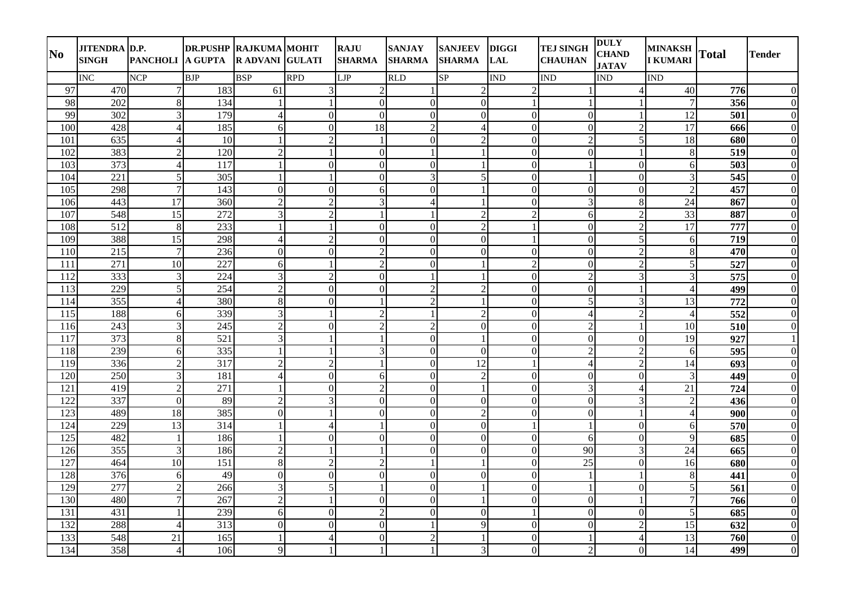| N <sub>0</sub> | <b>JITENDRA D.P.</b><br><b>SINGH</b> | PANCHOLI A GUPTA         | <b>DR.PUSHP RAJKUMA MOHIT</b> | <b>RADVANI GULATI</b> |                          | <b>RAJU</b><br><b>SHARMA</b> | <b>SANJAY</b><br><b>SHARMA</b> | <b>SANJEEV</b><br><b>SHARMA</b> | <b>DIGGI</b><br><b>LAL</b> | <b>TEJ SINGH</b><br><b>CHAUHAN</b> | <b>DULY</b><br><b>CHAND</b><br><b>JATAV</b> | <b>MINAKSH</b><br><b>I KUMARI</b> | <b>Total</b> | <b>Tender</b>    |
|----------------|--------------------------------------|--------------------------|-------------------------------|-----------------------|--------------------------|------------------------------|--------------------------------|---------------------------------|----------------------------|------------------------------------|---------------------------------------------|-----------------------------------|--------------|------------------|
|                | <b>INC</b>                           | <b>NCP</b>               | <b>BJP</b>                    | <b>BSP</b>            | <b>RPD</b>               | LJP                          | <b>RLD</b>                     | SP                              | <b>IND</b>                 | <b>IND</b>                         | <b>IND</b>                                  | <b>IND</b>                        |              |                  |
| 97             | 470                                  | 7 <sup>1</sup>           | 183                           | 61                    | $\overline{3}$           | $\overline{2}$               | $\mathbf{1}$                   | $\overline{c}$                  | $\overline{2}$             |                                    |                                             | 40                                | 776          | $\boldsymbol{0}$ |
| 98             | 202                                  | 8                        | 134                           | 1                     |                          | $\theta$                     | $\mathbf{0}$                   | $\boldsymbol{0}$                | $\mathbf{1}$               |                                    |                                             | 7                                 | 356          | $\mathbf{0}$     |
| 99             | 302                                  | $\overline{3}$           | 179                           | $\vert 4 \vert$       | $\mathbf{0}$             | $\overline{0}$               | $\mathbf{0}$                   | $\boldsymbol{0}$                | $\boldsymbol{0}$           | $\mathbf{0}$                       |                                             | 12                                | 501          | $\boldsymbol{0}$ |
| 100            | 428                                  | $\overline{\mathcal{A}}$ | 185                           | $6 \overline{6}$      | $\Omega$                 | $\overline{18}$              | $\overline{2}$                 | $\overline{4}$                  | $\mathbf{0}$               | $\overline{0}$                     | $\overline{2}$                              | 17                                | 666          | $\mathbf{0}$     |
| 101            | 635                                  | Δ                        | 10                            | $\mathbf{1}$          | $\overline{2}$           | $\mathbf{1}$                 | $\mathbf{0}$                   | $\overline{2}$                  | $\mathbf{0}$               | $\overline{2}$                     | 5                                           | 18                                | 680          | $\boldsymbol{0}$ |
| 102            | 383                                  | $\overline{2}$           | 120                           | $\overline{c}$        |                          | $\mathbf{0}$                 | $\mathbf{1}$                   |                                 | $\overline{0}$             | $\Omega$                           |                                             | $\,8\,$                           | 519          | $\boldsymbol{0}$ |
| 103            | 373                                  | 4                        | 117                           |                       | $\Omega$                 | $\Omega$                     | $\Omega$                       |                                 | $\Omega$                   |                                    | $\Omega$                                    | 6                                 | 503          | $\Omega$         |
| 104            | 221                                  | 5                        | 305                           | $\mathbf{1}$          | -1                       | $\overline{0}$               | 3                              | 5                               | $\boldsymbol{0}$           |                                    | $\overline{0}$                              | 3                                 | 545          | $\boldsymbol{0}$ |
| 105            | 298                                  | $\overline{7}$           | 143                           | $\overline{0}$        | $\overline{0}$           | 6                            | $\mathbf{0}$                   |                                 | $\overline{0}$             | $\overline{0}$                     | $\overline{0}$                              | $\overline{2}$                    | 457          | $\boldsymbol{0}$ |
| 106            | 443                                  | 17                       | 360                           | $\overline{2}$        | $\overline{2}$           | 3                            | $\overline{4}$                 |                                 | $\mathbf{0}$               | 3                                  | 8                                           | 24                                | 867          | $\boldsymbol{0}$ |
| 107            | 548                                  | 15                       | 272                           | $\overline{3}$        | $\overline{2}$           |                              | -1                             | $\overline{2}$                  | $\overline{2}$             | 6                                  | $\overline{2}$                              | 33                                | 887          | $\mathbf{0}$     |
| 108            | 512                                  | 8                        | 233                           | $\mathbf{1}$          | $\mathbf{1}$             | $\overline{0}$               | $\mathbf{0}$                   | $\overline{2}$                  | $\mathbf{1}$               | $\mathbf{0}$                       | $\overline{2}$                              | 17                                | 777          | $\boldsymbol{0}$ |
| 109            | 388                                  | 15                       | 298                           | $\vert$               | $\overline{2}$           | $\overline{0}$               | $\overline{0}$                 | $\overline{0}$                  | $\mathbf{1}$               | $\overline{0}$                     | 5                                           | 6                                 | 719          | $\boldsymbol{0}$ |
| 110            | 215                                  | $\tau$                   | 236                           | $\Omega$              | $\Omega$                 | $\overline{2}$               | $\Omega$                       | $\Omega$                        | $\Omega$                   | $\Omega$                           | $\mathfrak{D}$                              | $\,8\,$                           | 470          | $\Omega$         |
| 111            | 271                                  | 10                       | 227                           | 6                     | -1                       | $\overline{2}$               | $\boldsymbol{0}$               |                                 | $\overline{2}$             | $\mathbf{0}$                       | $\overline{2}$                              | 5                                 | 527          | $\boldsymbol{0}$ |
| 112            | 333                                  | 3                        | 224                           | 3                     | $\overline{2}$           | $\mathbf{0}$                 | $\overline{1}$                 |                                 | $\boldsymbol{0}$           | $\overline{2}$                     | 3                                           | 3                                 | 575          | $\boldsymbol{0}$ |
| 113            | 229                                  | 5                        | 254                           | $\overline{2}$        | $\boldsymbol{0}$         | $\overline{0}$               | $\overline{2}$                 | $\overline{2}$                  | $\boldsymbol{0}$           | $\mathbf{0}$                       |                                             | $\overline{4}$                    | 499          | $\boldsymbol{0}$ |
| 114            | 355                                  | 4                        | 380                           | 8                     | $\mathbf{0}$             |                              | $\overline{2}$                 |                                 | $\overline{0}$             | 5                                  | 3                                           | $\overline{13}$                   | 772          | $\mathbf{0}$     |
| 115            | 188                                  | $6 \mid$                 | 339                           | $\overline{3}$        | $\mathbf{1}$             | $\overline{2}$               | $\mathbf{1}$                   | $\overline{2}$                  | $\mathbf{0}$               | $\overline{4}$                     | $\overline{2}$                              | $\overline{4}$                    | 552          | $\boldsymbol{0}$ |
| 116            | 243                                  | $\overline{3}$           | 245                           | $\overline{2}$        | $\mathbf{0}$             | $\overline{2}$               | $\overline{2}$                 | $\overline{0}$                  | $\boldsymbol{0}$           | $\overline{2}$                     |                                             | 10                                | 510          | $\boldsymbol{0}$ |
| 117            | 373                                  | 8                        | 521                           | 3                     |                          |                              | $\Omega$                       |                                 | $\Omega$                   | $\Omega$                           | $\Omega$                                    | 19                                | 927          | $\mathbf{1}$     |
| 118            | 239                                  | 6                        | 335                           | $\mathbf{1}$          |                          | $\mathfrak{Z}$               | $\mathbf{0}$                   | $\boldsymbol{0}$                | $\boldsymbol{0}$           | $\overline{2}$                     | $\overline{2}$                              | 6                                 | 595          | $\boldsymbol{0}$ |
| 119            | 336                                  | $\overline{2}$           | $\overline{317}$              | $\overline{2}$        | $\overline{2}$           |                              | $\mathbf{0}$                   | $\overline{12}$                 | $\mathbf{1}$               | $\overline{4}$                     | $\overline{2}$                              | $\overline{14}$                   | 693          | $\mathbf{0}$     |
| 120            | 250                                  | 3                        | 181                           | $\overline{4}$        | $\mathbf{0}$             | 6                            | $\boldsymbol{0}$               | $\overline{2}$                  | $\boldsymbol{0}$           | $\mathbf{0}$                       | $\mathbf{0}$                                | 3                                 | 449          | $\boldsymbol{0}$ |
| 121            | 419                                  | $\overline{2}$           | 271                           |                       | $\boldsymbol{0}$         | $\overline{2}$               | $\mathbf{0}$                   |                                 | $\overline{0}$             | 3                                  | 4                                           | 21                                | 724          | $\boldsymbol{0}$ |
| 122            | 337                                  | $\Omega$                 | 89                            | $\overline{2}$        | 3                        | $\overline{0}$               | $\mathbf{0}$                   | $\boldsymbol{0}$                | $\boldsymbol{0}$           | $\mathbf{0}$                       | $\mathfrak{Z}$                              | $\overline{2}$                    | 436          | $\boldsymbol{0}$ |
| 123            | 489                                  | 18                       | 385                           | $\overline{0}$        |                          | $\mathbf{0}$                 | $\mathbf{0}$                   | $\overline{2}$                  | $\mathbf{0}$               | $\mathbf{0}$                       |                                             | $\overline{4}$                    | 900          | $\boldsymbol{0}$ |
| 124            | 229                                  | $\overline{13}$          | $\overline{314}$              |                       | $\overline{4}$           |                              | $\Omega$                       | $\Omega$                        | $\mathbf{1}$               |                                    | $\Omega$                                    | 6                                 | 570          | $\mathbf{0}$     |
| 125            | 482                                  |                          | 186                           | $\mathbf{1}$          | $\mathbf{0}$             | $\overline{0}$               | $\mathbf{0}$                   | $\boldsymbol{0}$                | $\mathbf{0}$               | 6                                  | $\overline{0}$                              | 9                                 | 685          | $\mathbf{0}$     |
| 126            | 355                                  | 3                        | 186                           | $\overline{2}$        |                          |                              | $\mathbf{0}$                   | $\boldsymbol{0}$                | $\mathbf{0}$               | 90                                 | 3                                           | 24                                | 665          | $\mathbf{0}$     |
| 127            | 464                                  | 10                       | 151                           | 8                     | $\overline{2}$           | $\overline{2}$               | $\mathbf{1}$                   |                                 | $\boldsymbol{0}$           | 25                                 | $\boldsymbol{0}$                            | 16                                | 680          | $\boldsymbol{0}$ |
| 128            | $\overline{376}$                     | 6                        | 49                            | $\overline{0}$        | $\boldsymbol{0}$         | $\mathbf{0}$                 | $\mathbf{0}$                   | $\boldsymbol{0}$                | $\overline{0}$             |                                    |                                             | 8                                 | 441          | $\mathbf{0}$     |
| 129            | 277                                  | $\mathfrak{D}$           | 266                           | $\overline{3}$        | 5                        | $\mathbf{1}$                 | $\boldsymbol{0}$               | $\mathbf{1}$                    | $\boldsymbol{0}$           |                                    | $\mathbf{0}$                                | 5 <sub>l</sub>                    | 561          | $\boldsymbol{0}$ |
| 130            | 480                                  | $\overline{7}$           | 267                           | $\overline{c}$        |                          | $\mathbf{0}$                 | $\mathbf{0}$                   |                                 | $\mathbf{0}$               | $\Omega$                           |                                             | $\overline{7}$                    | 766          | $\mathbf{0}$     |
| 131            | 431                                  |                          | 239                           | 6                     | $\Omega$                 | $\overline{2}$               | $\mathbf{0}$                   | $\mathbf{0}$                    | $\mathbf{1}$               | $\mathbf{0}$                       | $\Omega$                                    | $\vert$                           | 685          | $\mathbf{0}$     |
| 132            | 288                                  | Δ                        | 313                           | $\overline{0}$        | $\overline{0}$           | $\mathbf{0}$                 | $\mathbf{1}$                   | 9                               | $\mathbf{0}$               | $\mathbf{0}$                       | $\overline{2}$                              | 15                                | 632          | $\boldsymbol{0}$ |
| 133            | 548                                  | 21                       | 165                           |                       | $\overline{\mathcal{A}}$ | $\Omega$                     | $\overline{2}$                 |                                 | $\mathbf{0}$               |                                    | $\overline{\mathcal{A}}$                    | 13                                | 760          | $\mathbf{0}$     |
| 134            | 358                                  | $\vert 4 \vert$          | 106                           | $\overline{9}$        |                          |                              | $\mathbf{1}$                   | 3                               | $\boldsymbol{0}$           | $\overline{2}$                     | $\mathbf{0}$                                | 14                                | 499          | $\boldsymbol{0}$ |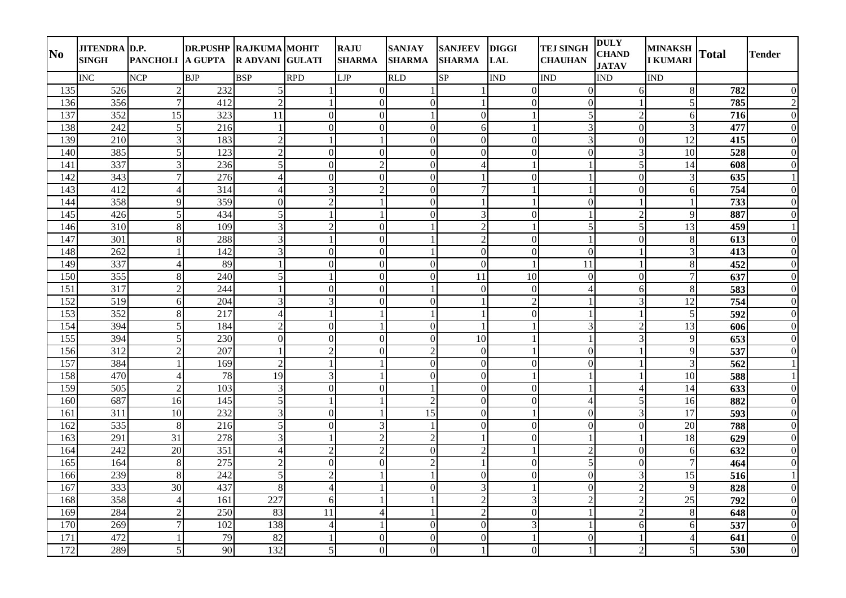| N <sub>0</sub> | <b>JITENDRA D.P.</b><br><b>SINGH</b> | PANCHOLI A GUPTA | <b>DR.PUSHP RAJKUMA MOHIT</b> | <b>RADVANI GULATI</b> |                  | <b>RAJU</b><br><b>SHARMA</b> | <b>SANJAY</b><br><b>SHARMA</b> | <b>SANJEEV</b><br><b>SHARMA</b> | <b>DIGGI</b><br><b>LAL</b> | <b>TEJ SINGH</b><br><b>CHAUHAN</b> | <b>DULY</b><br><b>CHAND</b><br><b>JATAV</b> | <b>MINAKSH</b><br><b>I KUMARI</b> | <b>Total</b>     | <b>Tender</b>    |
|----------------|--------------------------------------|------------------|-------------------------------|-----------------------|------------------|------------------------------|--------------------------------|---------------------------------|----------------------------|------------------------------------|---------------------------------------------|-----------------------------------|------------------|------------------|
|                | <b>INC</b>                           | <b>NCP</b>       | <b>BJP</b>                    | <b>BSP</b>            | <b>RPD</b>       | <b>LJP</b>                   | <b>RLD</b>                     | SP                              | <b>IND</b>                 | <b>IND</b>                         | <b>IND</b>                                  | <b>IND</b>                        |                  |                  |
| 135            | 526                                  | $\overline{2}$   | 232                           | 5 <sup>1</sup>        |                  | $\overline{0}$               | $\mathbf{1}$                   |                                 | $\overline{0}$             | $\Omega$                           | 6                                           | $\,8\,$                           | 782              | $\boldsymbol{0}$ |
| 136            | 356                                  | 7                | 412                           | $\overline{2}$        |                  | $\theta$                     | $\mathbf{0}$                   |                                 | $\boldsymbol{0}$           | $\Omega$                           |                                             | 5                                 | 785              | $\overline{2}$   |
| 137            | 352                                  | 15               | 323                           | 11                    | $\mathbf{0}$     | $\overline{0}$               | $\mathbf{1}$                   | $\boldsymbol{0}$                | $\mathbf{1}$               | 5                                  | $\overline{2}$                              | 6                                 | 716              | $\boldsymbol{0}$ |
| 138            | 242                                  | 5                | 216                           | $\mathbf{1}$          | $\Omega$         | $\mathbf{0}$                 | $\overline{0}$                 | 6                               | $\mathbf{1}$               | 3                                  | $\overline{0}$                              | 3                                 | 477              | $\mathbf{0}$     |
| 139            | 210                                  | 3                | 183                           | $\overline{2}$        | $\mathbf{1}$     | $\mathbf{1}$                 | $\mathbf{0}$                   | $\boldsymbol{0}$                | $\boldsymbol{0}$           | 3                                  | $\mathbf{0}$                                | 12                                | 415              | $\boldsymbol{0}$ |
| 140            | 385                                  | $\overline{5}$   | 123                           | $\overline{c}$        | $\overline{0}$   | $\overline{0}$               | $\mathbf{0}$                   | $\overline{0}$                  | $\mathbf{0}$               | $\Omega$                           | 3                                           | 10                                | 528              | $\boldsymbol{0}$ |
| 141            | 337                                  | 3                | 236                           | $\overline{5}$        | $\Omega$         | $\overline{2}$               | $\Omega$                       | $\overline{4}$                  | $\overline{1}$             |                                    | 5                                           | 14                                | 608              | $\Omega$         |
| 142            | 343                                  | 7                | 276                           | $\overline{4}$        | $\mathbf{0}$     | $\overline{0}$               | $\mathbf{0}$                   |                                 | $\boldsymbol{0}$           |                                    | $\mathbf{0}$                                | 3                                 | 635              | $\mathbf{1}$     |
| 143            | 412                                  |                  | 314                           | $\overline{4}$        | 3                | $\overline{2}$               | $\mathbf{0}$                   | $\overline{7}$                  | $\mathbf{1}$               |                                    | $\mathbf{0}$                                | 6                                 | 754              | $\overline{0}$   |
| 144            | 358                                  | $\overline{Q}$   | 359                           | $\overline{0}$        | $\overline{2}$   |                              | $\mathbf{0}$                   |                                 | $\mathbf{1}$               | $\overline{0}$                     |                                             | $\mathbf{1}$                      | 733              | $\boldsymbol{0}$ |
| 145            | 426                                  | 5 <sub>l</sub>   | 434                           | 5 <sup>1</sup>        |                  |                              | $\Omega$                       | 3                               | $\mathbf{0}$               |                                    | $\overline{2}$                              | 9                                 | 887              | $\mathbf{0}$     |
| 146            | 310                                  | 8                | 109                           | $\overline{3}$        | $\overline{2}$   | $\overline{0}$               | $\mathbf{1}$                   | $\overline{2}$                  | $\mathbf{1}$               | 5                                  | 5                                           | 13                                | 459              | $\mathbf{1}$     |
| 147            | 301                                  | 8                | 288                           | $\overline{3}$        |                  | $\overline{0}$               | $\mathbf{1}$                   | $\overline{2}$                  | $\overline{0}$             |                                    | $\mathbf{0}$                                | $\,8\,$                           | 613              | $\mathbf{0}$     |
| 148            | 262                                  |                  | 142                           | $\overline{3}$        | $\Omega$         | $\Omega$                     | $\mathbf{1}$                   | $\Omega$                        | $\Omega$                   | $\Omega$                           |                                             | 3                                 | 413              | $\Omega$         |
| 149            | 337                                  | Δ                | 89                            | $\mathbf{1}$          | $\mathbf{0}$     | $\mathbf{0}$                 | $\boldsymbol{0}$               | $\boldsymbol{0}$                | $\mathbf{1}$               | 11                                 |                                             | $\,8\,$                           | 452              | $\boldsymbol{0}$ |
| 150            | 355                                  | 8                | 240                           | $\vert$               |                  | $\mathbf{0}$                 | $\mathbf{0}$                   | 11                              | 10                         | $\Omega$                           | $\Omega$                                    | $\tau$                            | 637              | $\boldsymbol{0}$ |
| 151            | 317                                  | $\mathfrak{D}$   | 244                           | $\mathbf{1}$          | $\boldsymbol{0}$ | $\mathbf{0}$                 | $\mathbf{1}$                   | $\boldsymbol{0}$                | $\boldsymbol{0}$           | $\overline{4}$                     | 6                                           | $\,8\,$                           | 583              | $\boldsymbol{0}$ |
| 152            | 519                                  | 6                | 204                           | 3                     | 3                | $\overline{0}$               | $\mathbf{0}$                   |                                 | $\overline{2}$             |                                    | 3                                           | $\overline{12}$                   | 754              | $\mathbf{0}$     |
| 153            | 352                                  | 8                | 217                           | $\overline{4}$        | $\mathbf{1}$     | $\mathbf{1}$                 | <sup>1</sup>                   | $\mathbf{1}$                    | $\boldsymbol{0}$           |                                    |                                             | 5                                 | 592              | $\boldsymbol{0}$ |
| 154            | 394                                  | 5 <sup>1</sup>   | 184                           | $\overline{2}$        | $\mathbf{0}$     | $\mathbf{1}$                 | $\mathbf{0}$                   | $\overline{1}$                  | $\mathbf{1}$               | 3                                  | $\overline{2}$                              | 13                                | 606              | $\mathbf{0}$     |
| 155            | 394                                  | 5                | 230                           | $\Omega$              | $\Omega$         | $\theta$                     | $\Omega$                       | 10                              | $\overline{1}$             |                                    | 3                                           | 9                                 | 653              | $\Omega$         |
| 156            | 312                                  | $\overline{2}$   | 207                           | $\mathbf{1}$          | $\sqrt{2}$       | $\overline{0}$               | $\overline{c}$                 | $\boldsymbol{0}$                | $\mathbf{1}$               | $\mathbf{0}$                       |                                             | 9                                 | 537              | $\boldsymbol{0}$ |
| 157            | 384                                  |                  | 169                           | $\overline{2}$        | $\mathbf{1}$     |                              | $\mathbf{0}$                   | $\boldsymbol{0}$                | $\mathbf{0}$               | $\Omega$                           |                                             | $\overline{3}$                    | $\overline{562}$ | $\mathbf{1}$     |
| 158            | 470                                  | 4                | 78                            | 19                    | 3                | $\mathbf{1}$                 | $\boldsymbol{0}$               | $\boldsymbol{0}$                | $\mathbf{1}$               |                                    |                                             | 10                                | 588              | $\mathbf{1}$     |
| 159            | 505                                  | $\overline{2}$   | 103                           | $\overline{3}$        | $\mathbf{0}$     | $\mathbf{0}$                 | $\mathbf{1}$                   | $\overline{0}$                  | $\boldsymbol{0}$           |                                    | $\overline{4}$                              | 14                                | 633              | $\boldsymbol{0}$ |
| 160            | 687                                  | 16               | 145                           | 5 <sup>1</sup>        | $\mathbf{1}$     | $\mathbf{1}$                 | $\overline{2}$                 | $\overline{0}$                  | $\boldsymbol{0}$           | $\overline{4}$                     | 5                                           | 16                                | 882              | $\boldsymbol{0}$ |
| 161            | 311                                  | 10               | 232                           | $\overline{3}$        | $\mathbf{0}$     |                              | $\overline{15}$                | $\mathbf{0}$                    | $\mathbf{1}$               | $\mathbf{0}$                       | $\mathfrak{Z}$                              | 17                                | 593              | $\boldsymbol{0}$ |
| 162            | 535                                  | 8                | 216                           | $\overline{5}$        | $\Omega$         | 3                            | $\overline{1}$                 | $\Omega$                        | $\Omega$                   | $\Omega$                           | $\Omega$                                    | $\overline{20}$                   | 788              | $\mathbf{0}$     |
| 163            | 291                                  | 31               | 278                           | $\overline{3}$        |                  | $\mathbf{2}$                 | $\sqrt{2}$                     |                                 | $\boldsymbol{0}$           |                                    |                                             | 18                                | 629              | $\mathbf{0}$     |
| 164            | 242                                  | 20               | $\overline{351}$              | $\overline{4}$        | $\overline{2}$   | $\overline{2}$               | $\mathbf{0}$                   | $\overline{2}$                  | $\mathbf{1}$               | $\overline{2}$                     | $\Omega$                                    | 6                                 | 632              | $\boldsymbol{0}$ |
| 165            | 164                                  | 8                | $\overline{275}$              | $\overline{2}$        | $\boldsymbol{0}$ | $\overline{0}$               | $\overline{2}$                 | 1                               | $\boldsymbol{0}$           | 5                                  | $\mathbf{0}$                                | $\tau$                            | 464              | $\boldsymbol{0}$ |
| 166            | 239                                  | 8                | 242                           | $\overline{5}$        | $\overline{2}$   |                              | $\mathbf{1}$                   | $\boldsymbol{0}$                | $\overline{0}$             | $\mathbf{0}$                       | 3                                           | $\overline{15}$                   | 516              | $\mathbf{1}$     |
| 167            | 333                                  | 30               | 437                           | 8                     | $\overline{4}$   | $\mathbf{1}$                 | $\boldsymbol{0}$               | 3                               | $\mathbf{1}$               | $\mathbf{0}$                       | $\overline{2}$                              | $\overline{Q}$                    | 828              | $\boldsymbol{0}$ |
| 168            | 358                                  | $\overline{4}$   | 161                           | 227                   | 6                |                              | $\mathbf{1}$                   | $\overline{2}$                  | 3                          | $\overline{2}$                     | $\overline{2}$                              | 25                                | 792              | $\mathbf{0}$     |
| 169            | 284                                  | $\mathfrak{D}$   | 250                           | 83                    | 11               | $\overline{4}$               | $\mathbf{1}$                   | $\overline{2}$                  | $\mathbf{0}$               |                                    | $\overline{2}$                              | 8                                 | 648              | $\mathbf{0}$     |
| 170            | 269                                  |                  | 102                           | 138                   | $\overline{4}$   |                              | $\mathbf{0}$                   | $\boldsymbol{0}$                | 3                          |                                    | 6                                           | $6 \mid$                          | 537              | $\boldsymbol{0}$ |
| 171            | 472                                  |                  | 79                            | 82                    |                  | $\Omega$                     | $\mathbf{0}$                   | $\mathbf{0}$                    | $\mathbf{1}$               | $\Omega$                           |                                             | 4                                 | 641              | $\mathbf{0}$     |
| 172            | 289                                  | $5\vert$         | 90                            | 132                   | 5 <sup>1</sup>   | $\overline{0}$               | $\overline{0}$                 |                                 | $\boldsymbol{0}$           |                                    | $\overline{2}$                              | 5 <sub>l</sub>                    | 530              | $\boldsymbol{0}$ |